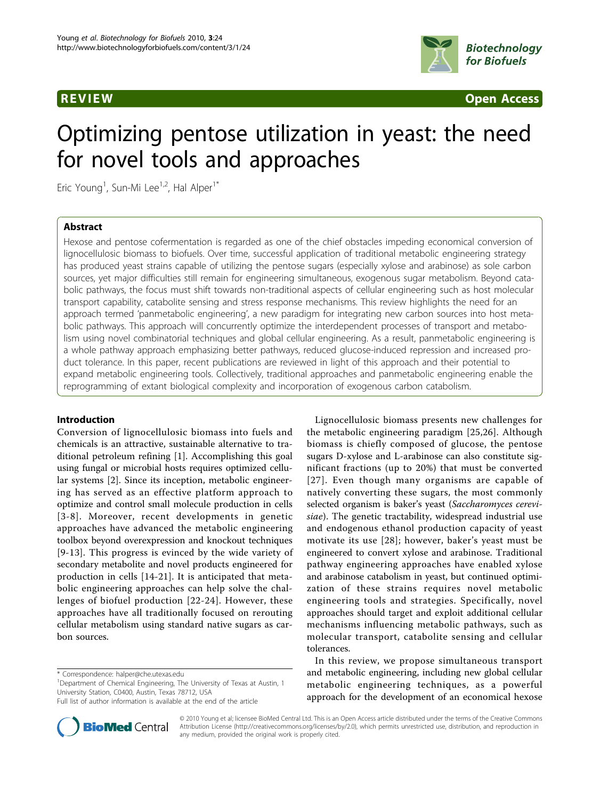

**REVIEW CONSIDERING CONSIDERING CONSIDERING CONSIDERING CONSIDERING CONSIDERING CONSIDERING CONSIDERING CONSIDERING CONSIDERING CONSIDERING CONSIDERING CONSIDERING CONSIDERING CONSIDERING CONSIDERING CONSIDERING CONSIDER** 

# Optimizing pentose utilization in yeast: the need for novel tools and approaches

Eric Young<sup>1</sup>, Sun-Mi Lee<sup>1,2</sup>, Hal Alper<sup>1\*</sup>

# Abstract

Hexose and pentose cofermentation is regarded as one of the chief obstacles impeding economical conversion of lignocellulosic biomass to biofuels. Over time, successful application of traditional metabolic engineering strategy has produced yeast strains capable of utilizing the pentose sugars (especially xylose and arabinose) as sole carbon sources, yet major difficulties still remain for engineering simultaneous, exogenous sugar metabolism. Beyond catabolic pathways, the focus must shift towards non-traditional aspects of cellular engineering such as host molecular transport capability, catabolite sensing and stress response mechanisms. This review highlights the need for an approach termed 'panmetabolic engineering', a new paradigm for integrating new carbon sources into host metabolic pathways. This approach will concurrently optimize the interdependent processes of transport and metabolism using novel combinatorial techniques and global cellular engineering. As a result, panmetabolic engineering is a whole pathway approach emphasizing better pathways, reduced glucose-induced repression and increased product tolerance. In this paper, recent publications are reviewed in light of this approach and their potential to expand metabolic engineering tools. Collectively, traditional approaches and panmetabolic engineering enable the reprogramming of extant biological complexity and incorporation of exogenous carbon catabolism.

# Introduction

Conversion of lignocellulosic biomass into fuels and chemicals is an attractive, sustainable alternative to traditional petroleum refining [\[1\]](#page-8-0). Accomplishing this goal using fungal or microbial hosts requires optimized cellular systems [[2\]](#page-8-0). Since its inception, metabolic engineering has served as an effective platform approach to optimize and control small molecule production in cells [[3-8](#page-8-0)]. Moreover, recent developments in genetic approaches have advanced the metabolic engineering toolbox beyond overexpression and knockout techniques [[9](#page-8-0)-[13](#page-8-0)]. This progress is evinced by the wide variety of secondary metabolite and novel products engineered for production in cells [\[14](#page-8-0)[-21](#page-9-0)]. It is anticipated that metabolic engineering approaches can help solve the challenges of biofuel production [[22-24\]](#page-9-0). However, these approaches have all traditionally focused on rerouting cellular metabolism using standard native sugars as carbon sources.

Full list of author information is available at the end of the article



Lignocellulosic biomass presents new challenges for the metabolic engineering paradigm [[25,26\]](#page-9-0). Although biomass is chiefly composed of glucose, the pentose sugars D-xylose and L-arabinose can also constitute significant fractions (up to 20%) that must be converted [[27](#page-9-0)]. Even though many organisms are capable of natively converting these sugars, the most commonly selected organism is baker's yeast (Saccharomyces cerevisiae). The genetic tractability, widespread industrial use and endogenous ethanol production capacity of yeast motivate its use [[28](#page-9-0)]; however, baker's yeast must be engineered to convert xylose and arabinose. Traditional pathway engineering approaches have enabled xylose and arabinose catabolism in yeast, but continued optimization of these strains requires novel metabolic engineering tools and strategies. Specifically, novel approaches should target and exploit additional cellular mechanisms influencing metabolic pathways, such as molecular transport, catabolite sensing and cellular tolerances.

In this review, we propose simultaneous transport and metabolic engineering, including new global cellular metabolic engineering techniques, as a powerful approach for the development of an economical hexose

© 2010 Young et al; licensee BioMed Central Ltd. This is an Open Access article distributed under the terms of the Creative Commons Attribution License [\(http://creativecommons.org/licenses/by/2.0](http://creativecommons.org/licenses/by/2.0)), which permits unrestricted use, distribution, and reproduction in any medium, provided the original work is properly cited.

<sup>\*</sup> Correspondence: [halper@che.utexas.edu](mailto:halper@che.utexas.edu)

<sup>&</sup>lt;sup>1</sup>Department of Chemical Engineering, The University of Texas at Austin, 1 University Station, C0400, Austin, Texas 78712, USA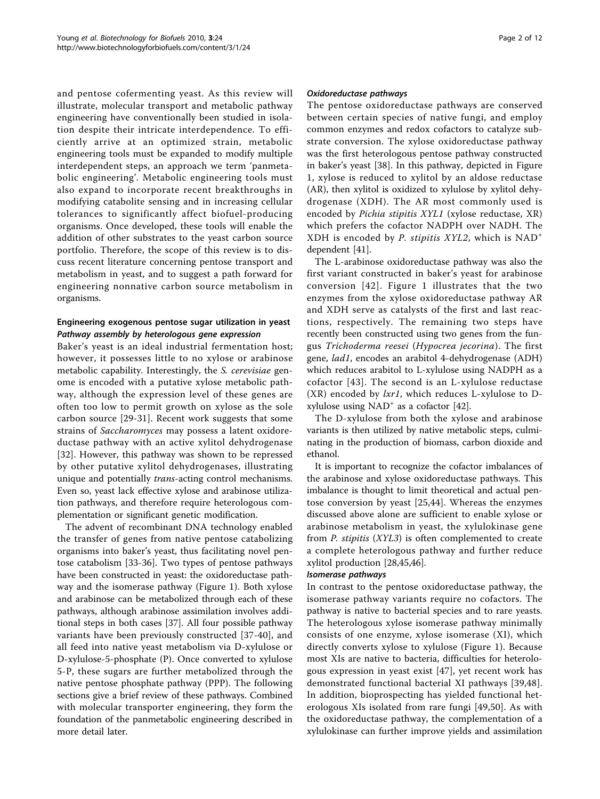and pentose cofermenting yeast. As this review will illustrate, molecular transport and metabolic pathway engineering have conventionally been studied in isolation despite their intricate interdependence. To efficiently arrive at an optimized strain, metabolic engineering tools must be expanded to modify multiple interdependent steps, an approach we term 'panmetabolic engineering'. Metabolic engineering tools must also expand to incorporate recent breakthroughs in modifying catabolite sensing and in increasing cellular tolerances to significantly affect biofuel-producing organisms. Once developed, these tools will enable the addition of other substrates to the yeast carbon source portfolio. Therefore, the scope of this review is to discuss recent literature concerning pentose transport and metabolism in yeast, and to suggest a path forward for engineering nonnative carbon source metabolism in organisms.

# Engineering exogenous pentose sugar utilization in yeast Pathway assembly by heterologous gene expression

Baker's yeast is an ideal industrial fermentation host; however, it possesses little to no xylose or arabinose metabolic capability. Interestingly, the S. cerevisiae genome is encoded with a putative xylose metabolic pathway, although the expression level of these genes are often too low to permit growth on xylose as the sole carbon source [[29-31](#page-9-0)]. Recent work suggests that some strains of Saccharomyces may possess a latent oxidoreductase pathway with an active xylitol dehydrogenase [[32\]](#page-9-0). However, this pathway was shown to be repressed by other putative xylitol dehydrogenases, illustrating unique and potentially trans-acting control mechanisms. Even so, yeast lack effective xylose and arabinose utilization pathways, and therefore require heterologous complementation or significant genetic modification.

The advent of recombinant DNA technology enabled the transfer of genes from native pentose catabolizing organisms into baker's yeast, thus facilitating novel pentose catabolism [\[33](#page-9-0)-[36\]](#page-9-0). Two types of pentose pathways have been constructed in yeast: the oxidoreductase pathway and the isomerase pathway (Figure [1\)](#page-2-0). Both xylose and arabinose can be metabolized through each of these pathways, although arabinose assimilation involves additional steps in both cases [\[37\]](#page-9-0). All four possible pathway variants have been previously constructed [[37](#page-9-0)-[40](#page-9-0)], and all feed into native yeast metabolism via D-xylulose or D-xylulose-5-phosphate (P). Once converted to xylulose 5-P, these sugars are further metabolized through the native pentose phosphate pathway (PPP). The following sections give a brief review of these pathways. Combined with molecular transporter engineering, they form the foundation of the panmetabolic engineering described in more detail later.

# Oxidoreductase pathways

The pentose oxidoreductase pathways are conserved between certain species of native fungi, and employ common enzymes and redox cofactors to catalyze substrate conversion. The xylose oxidoreductase pathway was the first heterologous pentose pathway constructed in baker's yeast [[38\]](#page-9-0). In this pathway, depicted in Figure [1,](#page-2-0) xylose is reduced to xylitol by an aldose reductase (AR), then xylitol is oxidized to xylulose by xylitol dehydrogenase (XDH). The AR most commonly used is encoded by Pichia stipitis XYL1 (xylose reductase, XR) which prefers the cofactor NADPH over NADH. The XDH is encoded by P. stipitis  $XYL2$ , which is  $NAD^+$ dependent [[41\]](#page-9-0).

The L-arabinose oxidoreductase pathway was also the first variant constructed in baker's yeast for arabinose conversion [[42](#page-9-0)]. Figure [1](#page-2-0) illustrates that the two enzymes from the xylose oxidoreductase pathway AR and XDH serve as catalysts of the first and last reactions, respectively. The remaining two steps have recently been constructed using two genes from the fungus Trichoderma reesei (Hypocrea jecorina). The first gene, lad1, encodes an arabitol 4-dehydrogenase (ADH) which reduces arabitol to L-xylulose using NADPH as a cofactor [[43](#page-9-0)]. The second is an L-xylulose reductase  $(XR)$  encoded by  $lxr1$ , which reduces L-xylulose to Dxylulose using  $NAD^+$  as a cofactor [[42\]](#page-9-0).

The D-xylulose from both the xylose and arabinose variants is then utilized by native metabolic steps, culminating in the production of biomass, carbon dioxide and ethanol.

It is important to recognize the cofactor imbalances of the arabinose and xylose oxidoreductase pathways. This imbalance is thought to limit theoretical and actual pentose conversion by yeast [[25,44](#page-9-0)]. Whereas the enzymes discussed above alone are sufficient to enable xylose or arabinose metabolism in yeast, the xylulokinase gene from P. stipitis (XYL3) is often complemented to create a complete heterologous pathway and further reduce xylitol production [\[28,45,46\]](#page-9-0).

# Isomerase pathways

In contrast to the pentose oxidoreductase pathway, the isomerase pathway variants require no cofactors. The pathway is native to bacterial species and to rare yeasts. The heterologous xylose isomerase pathway minimally consists of one enzyme, xylose isomerase (XI), which directly converts xylose to xylulose (Figure [1](#page-2-0)). Because most XIs are native to bacteria, difficulties for heterologous expression in yeast exist [\[47\]](#page-9-0), yet recent work has demonstrated functional bacterial XI pathways [[39,48](#page-9-0)]. In addition, bioprospecting has yielded functional heterologous XIs isolated from rare fungi [\[49,50\]](#page-9-0). As with the oxidoreductase pathway, the complementation of a xylulokinase can further improve yields and assimilation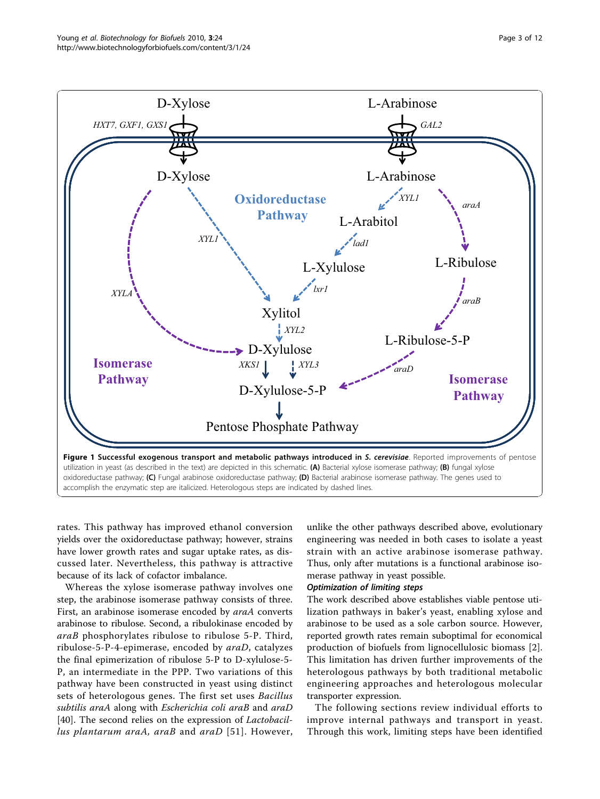<span id="page-2-0"></span>

rates. This pathway has improved ethanol conversion yields over the oxidoreductase pathway; however, strains have lower growth rates and sugar uptake rates, as discussed later. Nevertheless, this pathway is attractive because of its lack of cofactor imbalance.

Whereas the xylose isomerase pathway involves one step, the arabinose isomerase pathway consists of three. First, an arabinose isomerase encoded by *araA* converts arabinose to ribulose. Second, a ribulokinase encoded by araB phosphorylates ribulose to ribulose 5-P. Third, ribulose-5-P-4-epimerase, encoded by araD, catalyzes the final epimerization of ribulose 5-P to D-xylulose-5- P, an intermediate in the PPP. Two variations of this pathway have been constructed in yeast using distinct sets of heterologous genes. The first set uses Bacillus subtilis araA along with Escherichia coli araB and araD [[40\]](#page-9-0). The second relies on the expression of Lactobacil-lus plantarum araA, araB and araD [[51](#page-9-0)]. However, unlike the other pathways described above, evolutionary engineering was needed in both cases to isolate a yeast strain with an active arabinose isomerase pathway. Thus, only after mutations is a functional arabinose isomerase pathway in yeast possible.

# Optimization of limiting steps

The work described above establishes viable pentose utilization pathways in baker's yeast, enabling xylose and arabinose to be used as a sole carbon source. However, reported growth rates remain suboptimal for economical production of biofuels from lignocellulosic biomass [\[2](#page-8-0)]. This limitation has driven further improvements of the heterologous pathways by both traditional metabolic engineering approaches and heterologous molecular transporter expression.

The following sections review individual efforts to improve internal pathways and transport in yeast. Through this work, limiting steps have been identified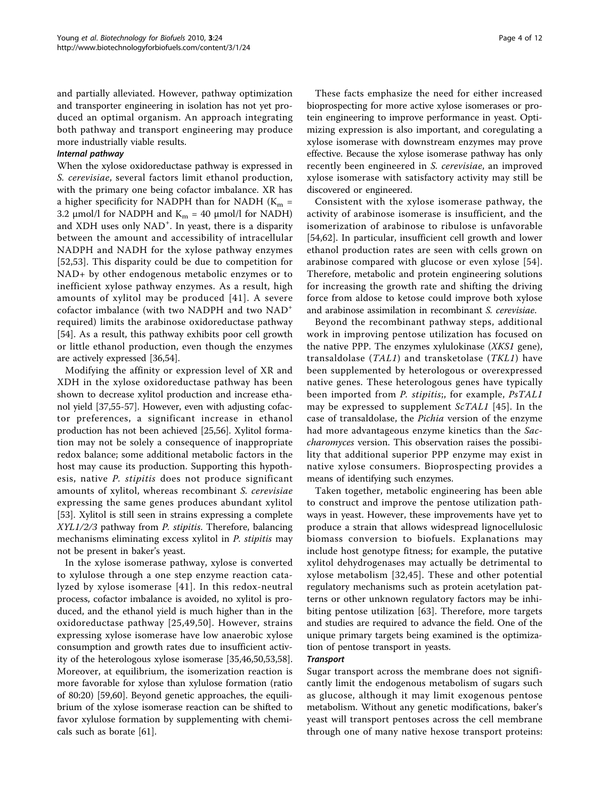and partially alleviated. However, pathway optimization and transporter engineering in isolation has not yet produced an optimal organism. An approach integrating both pathway and transport engineering may produce more industrially viable results.

# Internal pathway

When the xylose oxidoreductase pathway is expressed in S. cerevisiae, several factors limit ethanol production, with the primary one being cofactor imbalance. XR has a higher specificity for NADPH than for NADH ( $K_m$  = 3.2 μmol/l for NADPH and  $K_m = 40$  μmol/l for NADH) and XDH uses only NAD<sup>+</sup>. In yeast, there is a disparity between the amount and accessibility of intracellular NADPH and NADH for the xylose pathway enzymes [[52,53](#page-9-0)]. This disparity could be due to competition for NAD+ by other endogenous metabolic enzymes or to inefficient xylose pathway enzymes. As a result, high amounts of xylitol may be produced [[41\]](#page-9-0). A severe cofactor imbalance (with two NADPH and two NAD<sup>+</sup> required) limits the arabinose oxidoreductase pathway [[54\]](#page-9-0). As a result, this pathway exhibits poor cell growth or little ethanol production, even though the enzymes are actively expressed [[36](#page-9-0),[54](#page-9-0)].

Modifying the affinity or expression level of XR and XDH in the xylose oxidoreductase pathway has been shown to decrease xylitol production and increase ethanol yield [\[37,55-57](#page-9-0)]. However, even with adjusting cofactor preferences, a significant increase in ethanol production has not been achieved [\[25,56](#page-9-0)]. Xylitol formation may not be solely a consequence of inappropriate redox balance; some additional metabolic factors in the host may cause its production. Supporting this hypothesis, native P. stipitis does not produce significant amounts of xylitol, whereas recombinant S. cerevisiae expressing the same genes produces abundant xylitol [[53\]](#page-9-0). Xylitol is still seen in strains expressing a complete XYL1/2/3 pathway from P. stipitis. Therefore, balancing mechanisms eliminating excess xylitol in P. stipitis may not be present in baker's yeast.

In the xylose isomerase pathway, xylose is converted to xylulose through a one step enzyme reaction catalyzed by xylose isomerase [[41](#page-9-0)]. In this redox-neutral process, cofactor imbalance is avoided, no xylitol is produced, and the ethanol yield is much higher than in the oxidoreductase pathway [[25,49,50\]](#page-9-0). However, strains expressing xylose isomerase have low anaerobic xylose consumption and growth rates due to insufficient activity of the heterologous xylose isomerase [[35,46,50](#page-9-0),[53,58](#page-9-0)]. Moreover, at equilibrium, the isomerization reaction is more favorable for xylose than xylulose formation (ratio of 80:20) [[59](#page-10-0),[60](#page-10-0)]. Beyond genetic approaches, the equilibrium of the xylose isomerase reaction can be shifted to favor xylulose formation by supplementing with chemicals such as borate [\[61](#page-10-0)].

These facts emphasize the need for either increased bioprospecting for more active xylose isomerases or protein engineering to improve performance in yeast. Optimizing expression is also important, and coregulating a xylose isomerase with downstream enzymes may prove effective. Because the xylose isomerase pathway has only recently been engineered in S. cerevisiae, an improved xylose isomerase with satisfactory activity may still be discovered or engineered.

Consistent with the xylose isomerase pathway, the activity of arabinose isomerase is insufficient, and the isomerization of arabinose to ribulose is unfavorable [[54](#page-9-0)[,62](#page-10-0)]. In particular, insufficient cell growth and lower ethanol production rates are seen with cells grown on arabinose compared with glucose or even xylose [[54](#page-9-0)]. Therefore, metabolic and protein engineering solutions for increasing the growth rate and shifting the driving force from aldose to ketose could improve both xylose and arabinose assimilation in recombinant S. cerevisiae.

Beyond the recombinant pathway steps, additional work in improving pentose utilization has focused on the native PPP. The enzymes xylulokinase (XKS1 gene), transaldolase  $(TAL1)$  and transketolase  $(TKL1)$  have been supplemented by heterologous or overexpressed native genes. These heterologous genes have typically been imported from P. stipitis;, for example, PsTAL1 may be expressed to supplement  $ScTAL1$  [\[45\]](#page-9-0). In the case of transaldolase, the Pichia version of the enzyme had more advantageous enzyme kinetics than the Saccharomyces version. This observation raises the possibility that additional superior PPP enzyme may exist in native xylose consumers. Bioprospecting provides a means of identifying such enzymes.

Taken together, metabolic engineering has been able to construct and improve the pentose utilization pathways in yeast. However, these improvements have yet to produce a strain that allows widespread lignocellulosic biomass conversion to biofuels. Explanations may include host genotype fitness; for example, the putative xylitol dehydrogenases may actually be detrimental to xylose metabolism [[32,45](#page-9-0)]. These and other potential regulatory mechanisms such as protein acetylation patterns or other unknown regulatory factors may be inhibiting pentose utilization [\[63](#page-10-0)]. Therefore, more targets and studies are required to advance the field. One of the unique primary targets being examined is the optimization of pentose transport in yeasts.

# **Transport**

Sugar transport across the membrane does not significantly limit the endogenous metabolism of sugars such as glucose, although it may limit exogenous pentose metabolism. Without any genetic modifications, baker's yeast will transport pentoses across the cell membrane through one of many native hexose transport proteins: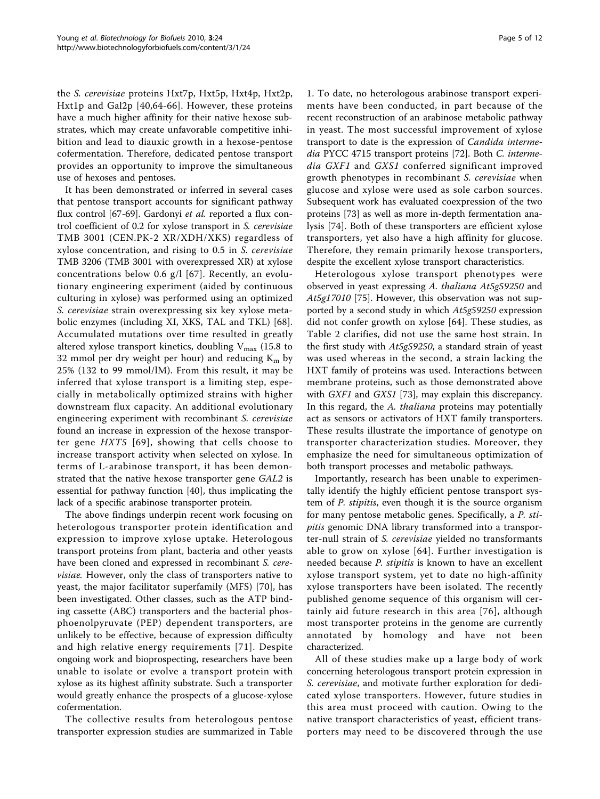the S. cerevisiae proteins Hxt7p, Hxt5p, Hxt4p, Hxt2p, Hxt1p and Gal2p [[40](#page-9-0),[64](#page-10-0)-[66](#page-10-0)]. However, these proteins have a much higher affinity for their native hexose substrates, which may create unfavorable competitive inhibition and lead to diauxic growth in a hexose-pentose cofermentation. Therefore, dedicated pentose transport provides an opportunity to improve the simultaneous use of hexoses and pentoses.

It has been demonstrated or inferred in several cases that pentose transport accounts for significant pathway flux control [\[67-69](#page-10-0)]. Gardonyi et al. reported a flux control coefficient of 0.2 for xylose transport in S. cerevisiae TMB 3001 (CEN.PK-2 XR/XDH/XKS) regardless of xylose concentration, and rising to 0.5 in S. cerevisiae TMB 3206 (TMB 3001 with overexpressed XR) at xylose concentrations below 0.6 g/l [[67](#page-10-0)]. Recently, an evolutionary engineering experiment (aided by continuous culturing in xylose) was performed using an optimized S. cerevisiae strain overexpressing six key xylose metabolic enzymes (including XI, XKS, TAL and TKL) [[68](#page-10-0)]. Accumulated mutations over time resulted in greatly altered xylose transport kinetics, doubling  $V_{\text{max}}$  (15.8 to 32 mmol per dry weight per hour) and reducing  $K_m$  by 25% (132 to 99 mmol/lM). From this result, it may be inferred that xylose transport is a limiting step, especially in metabolically optimized strains with higher downstream flux capacity. An additional evolutionary engineering experiment with recombinant S. cerevisiae found an increase in expression of the hexose transporter gene HXT5 [[69\]](#page-10-0), showing that cells choose to increase transport activity when selected on xylose. In terms of L-arabinose transport, it has been demonstrated that the native hexose transporter gene GAL2 is essential for pathway function [\[40](#page-9-0)], thus implicating the lack of a specific arabinose transporter protein.

The above findings underpin recent work focusing on heterologous transporter protein identification and expression to improve xylose uptake. Heterologous transport proteins from plant, bacteria and other yeasts have been cloned and expressed in recombinant *S. cere*visiae. However, only the class of transporters native to yeast, the major facilitator superfamily (MFS) [[70\]](#page-10-0), has been investigated. Other classes, such as the ATP binding cassette (ABC) transporters and the bacterial phosphoenolpyruvate (PEP) dependent transporters, are unlikely to be effective, because of expression difficulty and high relative energy requirements [[71](#page-10-0)]. Despite ongoing work and bioprospecting, researchers have been unable to isolate or evolve a transport protein with xylose as its highest affinity substrate. Such a transporter would greatly enhance the prospects of a glucose-xylose cofermentation.

The collective results from heterologous pentose transporter expression studies are summarized in Table

[1.](#page-5-0) To date, no heterologous arabinose transport experiments have been conducted, in part because of the recent reconstruction of an arabinose metabolic pathway in yeast. The most successful improvement of xylose transport to date is the expression of Candida intermedia PYCC 4715 transport proteins [[72\]](#page-10-0). Both C. intermedia GXF1 and GXS1 conferred significant improved growth phenotypes in recombinant S. cerevisiae when glucose and xylose were used as sole carbon sources. Subsequent work has evaluated coexpression of the two proteins [\[73](#page-10-0)] as well as more in-depth fermentation analysis [[74\]](#page-10-0). Both of these transporters are efficient xylose transporters, yet also have a high affinity for glucose. Therefore, they remain primarily hexose transporters, despite the excellent xylose transport characteristics.

Heterologous xylose transport phenotypes were observed in yeast expressing A. thaliana At5g59250 and At5g17010 [[75\]](#page-10-0). However, this observation was not supported by a second study in which At5g59250 expression did not confer growth on xylose [\[64](#page-10-0)]. These studies, as Table [2](#page-5-0) clarifies, did not use the same host strain. In the first study with At5g59250, a standard strain of yeast was used whereas in the second, a strain lacking the HXT family of proteins was used. Interactions between membrane proteins, such as those demonstrated above with *GXF1* and *GXS1* [[73\]](#page-10-0), may explain this discrepancy. In this regard, the A. thaliana proteins may potentially act as sensors or activators of HXT family transporters. These results illustrate the importance of genotype on transporter characterization studies. Moreover, they emphasize the need for simultaneous optimization of both transport processes and metabolic pathways.

Importantly, research has been unable to experimentally identify the highly efficient pentose transport system of *P. stipitis*, even though it is the source organism for many pentose metabolic genes. Specifically, a P. stipitis genomic DNA library transformed into a transporter-null strain of S. cerevisiae yielded no transformants able to grow on xylose [[64\]](#page-10-0). Further investigation is needed because *P. stipitis* is known to have an excellent xylose transport system, yet to date no high-affinity xylose transporters have been isolated. The recently published genome sequence of this organism will certainly aid future research in this area [[76](#page-10-0)], although most transporter proteins in the genome are currently annotated by homology and have not been characterized.

All of these studies make up a large body of work concerning heterologous transport protein expression in S. cerevisiae, and motivate further exploration for dedicated xylose transporters. However, future studies in this area must proceed with caution. Owing to the native transport characteristics of yeast, efficient transporters may need to be discovered through the use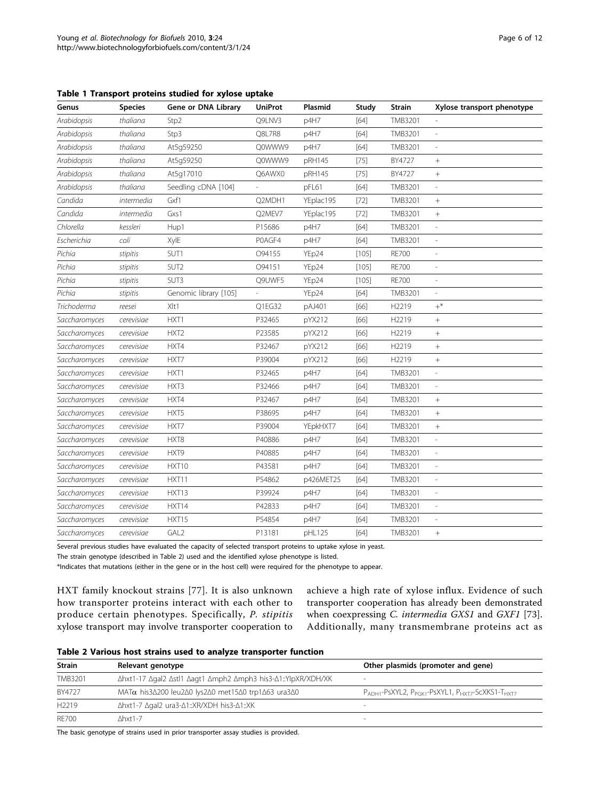| Genus         | <b>Species</b> | Gene or DNA Library   | <b>UniProt</b> | Plasmid   | Study   | <b>Strain</b>  | Xylose transport phenotype |
|---------------|----------------|-----------------------|----------------|-----------|---------|----------------|----------------------------|
| Arabidopsis   | thaliana       | Stp2                  | Q9LNV3         | p4H7      | $[64]$  | TMB3201        |                            |
| Arabidopsis   | thaliana       | Stp3                  | Q8L7R8         | p4H7      | [64]    | <b>TMB3201</b> | $\overline{\phantom{a}}$   |
| Arabidopsis   | thaliana       | At5g59250             | Q0WWW9         | p4H7      | $[64]$  | TMB3201        | $\overline{\phantom{a}}$   |
| Arabidopsis   | thaliana       | At5g59250             | Q0WWW9         | pRH145    | $[75]$  | BY4727         | $+$                        |
| Arabidopsis   | thaliana       | At5q17010             | Q6AWX0         | pRH145    | $[75]$  | BY4727         | $^{+}$                     |
| Arabidopsis   | thaliana       | Seedling cDNA [104]   |                | pFL61     | [64]    | TMB3201        | $\overline{\phantom{a}}$   |
| Candida       | intermedia     | Gxf1                  | Q2MDH1         | YEplac195 | $[72]$  | TMB3201        | $^{+}$                     |
| Candida       | intermedia     | Gxs1                  | Q2MEV7         | YEplac195 | $[72]$  | TMB3201        | $+$                        |
| Chlorella     | kessleri       | Hup1                  | P15686         | p4H7      | $[64]$  | TMB3201        |                            |
| Escherichia   | coli           | XylE                  | POAGF4         | p4H7      | $[64]$  | TMB3201        | $\overline{\phantom{a}}$   |
| Pichia        | stipitis       | SUT1                  | O94155         | YEp24     | [105]   | <b>RE700</b>   |                            |
| Pichia        | stipitis       | SUT <sub>2</sub>      | O94151         | YEp24     | [105]   | <b>RE700</b>   |                            |
| Pichia        | stipitis       | SUT3                  | Q9UWF5         | YEp24     | $[105]$ | <b>RE700</b>   |                            |
| Pichia        | stipitis       | Genomic library [105] |                | YEp24     | $[64]$  | TMB3201        | $\qquad \qquad -$          |
| Trichoderma   | reesei         | XIt1                  | Q1EG32         | pAJ401    | $[66]$  | H2219          | $+^*$                      |
| Saccharomyces | cerevisiae     | HXT1                  | P32465         | pYX212    | [66]    | H2219          | $^{+}$                     |
| Saccharomyces | cerevisiae     | HXT2                  | P23585         | pYX212    | $[66]$  | H2219          | $^{+}$                     |
| Saccharomyces | cerevisiae     | HXT4                  | P32467         | pYX212    | $[66]$  | H2219          |                            |
| Saccharomyces | cerevisiae     | HXT7                  | P39004         | pYX212    | $[66]$  | H2219          | $^{+}$                     |
| Saccharomyces | cerevisiae     | HXT1                  | P32465         | p4H7      | [64]    | TMB3201        |                            |
| Saccharomyces | cerevisiae     | HXT3                  | P32466         | p4H7      | $[64]$  | TMB3201        |                            |
| Saccharomyces | cerevisiae     | HXT4                  | P32467         | p4H7      | $[64]$  | TMB3201        | $^{+}$                     |
| Saccharomyces | cerevisiae     | HXT5                  | P38695         | p4H7      | $[64]$  | TMB3201        | $^{+}$                     |
| Saccharomyces | cerevisiae     | HXT7                  | P39004         | YEpkHXT7  | [64]    | TMB3201        | $+$                        |
| Saccharomyces | cerevisiae     | HXT8                  | P40886         | p4H7      | $[64]$  | TMB3201        |                            |
| Saccharomyces | cerevisiae     | HXT9                  | P40885         | p4H7      | $[64]$  | TMB3201        |                            |
| Saccharomyces | cerevisiae     | HXT10                 | P43581         | p4H7      | [64]    | TMB3201        | $\overline{\phantom{a}}$   |
| Saccharomyces | cerevisiae     | HXT11                 | P54862         | p426MET25 | $[64]$  | TMB3201        | $\overline{\phantom{a}}$   |
| Saccharomyces | cerevisiae     | HXT13                 | P39924         | p4H7      | [64]    | TMB3201        | $\frac{1}{2}$              |
| Saccharomyces | cerevisiae     | HXT14                 | P42833         | p4H7      | $[64]$  | <b>TMB3201</b> |                            |
| Saccharomyces | cerevisiae     | HXT15                 | P54854         | p4H7      | $[64]$  | TMB3201        | $\overline{\phantom{a}}$   |
| Saccharomyces | cerevisiae     | GAL <sub>2</sub>      | P13181         | pHL125    | $[64]$  | TMB3201        | $^{+}$                     |

<span id="page-5-0"></span>Table 1 Transport proteins studied for xylose uptake

Several previous studies have evaluated the capacity of selected transport proteins to uptake xylose in yeast.

The strain genotype (described in Table 2) used and the identified xylose phenotype is listed.

\*Indicates that mutations (either in the gene or in the host cell) were required for the phenotype to appear.

HXT family knockout strains [\[77\]](#page-10-0). It is also unknown how transporter proteins interact with each other to produce certain phenotypes. Specifically, P. stipitis xylose transport may involve transporter cooperation to

achieve a high rate of xylose influx. Evidence of such transporter cooperation has already been demonstrated when coexpressing *C. intermedia GXS1* and *GXF1* [\[73](#page-10-0)]. Additionally, many transmembrane proteins act as

| Table 2 Various host strains used to analyze transporter function |  |  |  |  |
|-------------------------------------------------------------------|--|--|--|--|
|-------------------------------------------------------------------|--|--|--|--|

| Strain            | Relevant genotype                                            | Other plasmids (promoter and gene)                                                                |
|-------------------|--------------------------------------------------------------|---------------------------------------------------------------------------------------------------|
| TMB3201           | Δhxt1-17 Δgal2 Δstl1 Δagt1 Δmph2 Δmph3 his3-Δ1::YlpXR/XDH/XK |                                                                                                   |
| BY4727            | MATα his3Δ200 leu2Δ0 lys2Δ0 met15Δ0 trp1Δ63 ura3Δ0           | P <sub>ADH1</sub> -PsXYL2, P <sub>PGK1</sub> -PsXYL1, P <sub>HXT7</sub> -ScXKS1-T <sub>HXT7</sub> |
| H <sub>2219</sub> | Δhxt1-7 Δqal2 ura3-Δ1::XR/XDH his3-Δ1::XK                    | $\overline{\phantom{a}}$                                                                          |
| RF700             | $\Lambda$ hxt1-7                                             | $\overline{\phantom{a}}$                                                                          |

The basic genotype of strains used in prior transporter assay studies is provided.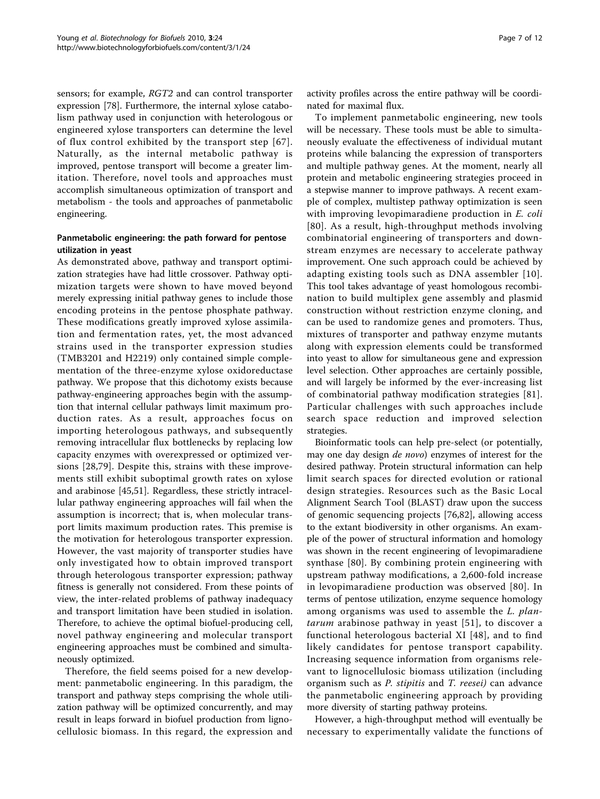sensors; for example, RGT2 and can control transporter expression [\[78\]](#page-10-0). Furthermore, the internal xylose catabolism pathway used in conjunction with heterologous or engineered xylose transporters can determine the level of flux control exhibited by the transport step [[67\]](#page-10-0). Naturally, as the internal metabolic pathway is improved, pentose transport will become a greater limitation. Therefore, novel tools and approaches must accomplish simultaneous optimization of transport and metabolism - the tools and approaches of panmetabolic engineering.

# Panmetabolic engineering: the path forward for pentose utilization in yeast

As demonstrated above, pathway and transport optimization strategies have had little crossover. Pathway optimization targets were shown to have moved beyond merely expressing initial pathway genes to include those encoding proteins in the pentose phosphate pathway. These modifications greatly improved xylose assimilation and fermentation rates, yet, the most advanced strains used in the transporter expression studies (TMB3201 and H2219) only contained simple complementation of the three-enzyme xylose oxidoreductase pathway. We propose that this dichotomy exists because pathway-engineering approaches begin with the assumption that internal cellular pathways limit maximum production rates. As a result, approaches focus on importing heterologous pathways, and subsequently removing intracellular flux bottlenecks by replacing low capacity enzymes with overexpressed or optimized versions [[28](#page-9-0)[,79\]](#page-10-0). Despite this, strains with these improvements still exhibit suboptimal growth rates on xylose and arabinose [[45,51\]](#page-9-0). Regardless, these strictly intracellular pathway engineering approaches will fail when the assumption is incorrect; that is, when molecular transport limits maximum production rates. This premise is the motivation for heterologous transporter expression. However, the vast majority of transporter studies have only investigated how to obtain improved transport through heterologous transporter expression; pathway fitness is generally not considered. From these points of view, the inter-related problems of pathway inadequacy and transport limitation have been studied in isolation. Therefore, to achieve the optimal biofuel-producing cell, novel pathway engineering and molecular transport engineering approaches must be combined and simultaneously optimized.

Therefore, the field seems poised for a new development: panmetabolic engineering. In this paradigm, the transport and pathway steps comprising the whole utilization pathway will be optimized concurrently, and may result in leaps forward in biofuel production from lignocellulosic biomass. In this regard, the expression and activity profiles across the entire pathway will be coordinated for maximal flux.

To implement panmetabolic engineering, new tools will be necessary. These tools must be able to simultaneously evaluate the effectiveness of individual mutant proteins while balancing the expression of transporters and multiple pathway genes. At the moment, nearly all protein and metabolic engineering strategies proceed in a stepwise manner to improve pathways. A recent example of complex, multistep pathway optimization is seen with improving levopimaradiene production in *E. coli* [[80\]](#page-10-0). As a result, high-throughput methods involving combinatorial engineering of transporters and downstream enzymes are necessary to accelerate pathway improvement. One such approach could be achieved by adapting existing tools such as DNA assembler [[10\]](#page-8-0). This tool takes advantage of yeast homologous recombination to build multiplex gene assembly and plasmid construction without restriction enzyme cloning, and can be used to randomize genes and promoters. Thus, mixtures of transporter and pathway enzyme mutants along with expression elements could be transformed into yeast to allow for simultaneous gene and expression level selection. Other approaches are certainly possible, and will largely be informed by the ever-increasing list of combinatorial pathway modification strategies [[81](#page-10-0)]. Particular challenges with such approaches include search space reduction and improved selection strategies.

Bioinformatic tools can help pre-select (or potentially, may one day design *de novo*) enzymes of interest for the desired pathway. Protein structural information can help limit search spaces for directed evolution or rational design strategies. Resources such as the Basic Local Alignment Search Tool (BLAST) draw upon the success of genomic sequencing projects [[76,82](#page-10-0)], allowing access to the extant biodiversity in other organisms. An example of the power of structural information and homology was shown in the recent engineering of levopimaradiene synthase [\[80\]](#page-10-0). By combining protein engineering with upstream pathway modifications, a 2,600-fold increase in levopimaradiene production was observed [[80\]](#page-10-0). In terms of pentose utilization, enzyme sequence homology among organisms was used to assemble the L. plan-tarum arabinose pathway in yeast [[51](#page-9-0)], to discover a functional heterologous bacterial XI [[48](#page-9-0)], and to find likely candidates for pentose transport capability. Increasing sequence information from organisms relevant to lignocellulosic biomass utilization (including organism such as P. stipitis and T. reesei) can advance the panmetabolic engineering approach by providing more diversity of starting pathway proteins.

However, a high-throughput method will eventually be necessary to experimentally validate the functions of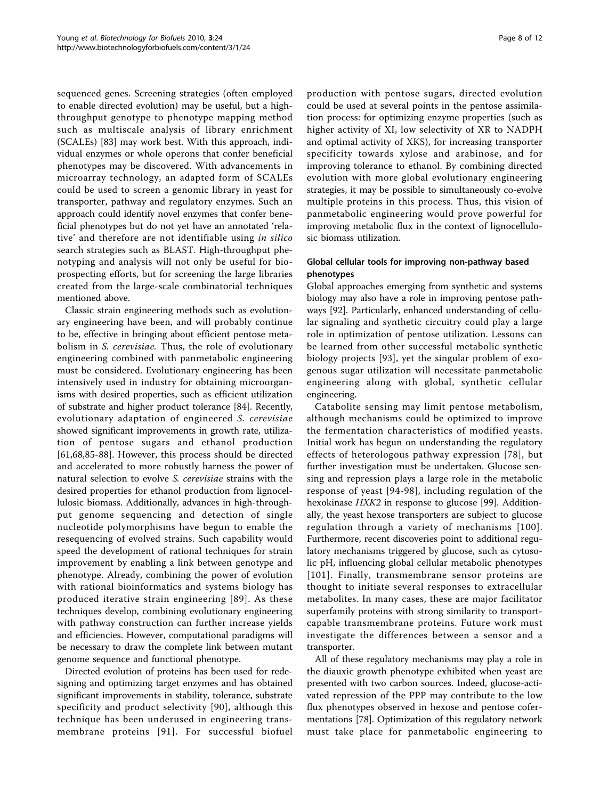sequenced genes. Screening strategies (often employed to enable directed evolution) may be useful, but a highthroughput genotype to phenotype mapping method such as multiscale analysis of library enrichment (SCALEs) [[83\]](#page-10-0) may work best. With this approach, individual enzymes or whole operons that confer beneficial phenotypes may be discovered. With advancements in microarray technology, an adapted form of SCALEs could be used to screen a genomic library in yeast for transporter, pathway and regulatory enzymes. Such an approach could identify novel enzymes that confer beneficial phenotypes but do not yet have an annotated 'relative' and therefore are not identifiable using in silico search strategies such as BLAST. High-throughput phenotyping and analysis will not only be useful for bioprospecting efforts, but for screening the large libraries created from the large-scale combinatorial techniques mentioned above.

Classic strain engineering methods such as evolutionary engineering have been, and will probably continue to be, effective in bringing about efficient pentose metabolism in S. cerevisiae. Thus, the role of evolutionary engineering combined with panmetabolic engineering must be considered. Evolutionary engineering has been intensively used in industry for obtaining microorganisms with desired properties, such as efficient utilization of substrate and higher product tolerance [\[84\]](#page-10-0). Recently, evolutionary adaptation of engineered S. cerevisiae showed significant improvements in growth rate, utilization of pentose sugars and ethanol production [[61,68,85](#page-10-0)-[88](#page-10-0)]. However, this process should be directed and accelerated to more robustly harness the power of natural selection to evolve S. cerevisiae strains with the desired properties for ethanol production from lignocellulosic biomass. Additionally, advances in high-throughput genome sequencing and detection of single nucleotide polymorphisms have begun to enable the resequencing of evolved strains. Such capability would speed the development of rational techniques for strain improvement by enabling a link between genotype and phenotype. Already, combining the power of evolution with rational bioinformatics and systems biology has produced iterative strain engineering [[89\]](#page-10-0). As these techniques develop, combining evolutionary engineering with pathway construction can further increase yields and efficiencies. However, computational paradigms will be necessary to draw the complete link between mutant genome sequence and functional phenotype.

Directed evolution of proteins has been used for redesigning and optimizing target enzymes and has obtained significant improvements in stability, tolerance, substrate specificity and product selectivity [[90](#page-10-0)], although this technique has been underused in engineering transmembrane proteins [[91\]](#page-10-0). For successful biofuel production with pentose sugars, directed evolution could be used at several points in the pentose assimilation process: for optimizing enzyme properties (such as higher activity of XI, low selectivity of XR to NADPH and optimal activity of XKS), for increasing transporter specificity towards xylose and arabinose, and for improving tolerance to ethanol. By combining directed evolution with more global evolutionary engineering strategies, it may be possible to simultaneously co-evolve multiple proteins in this process. Thus, this vision of panmetabolic engineering would prove powerful for improving metabolic flux in the context of lignocellulosic biomass utilization.

# Global cellular tools for improving non-pathway based phenotypes

Global approaches emerging from synthetic and systems biology may also have a role in improving pentose pathways [[92](#page-10-0)]. Particularly, enhanced understanding of cellular signaling and synthetic circuitry could play a large role in optimization of pentose utilization. Lessons can be learned from other successful metabolic synthetic biology projects [[93\]](#page-10-0), yet the singular problem of exogenous sugar utilization will necessitate panmetabolic engineering along with global, synthetic cellular engineering.

Catabolite sensing may limit pentose metabolism, although mechanisms could be optimized to improve the fermentation characteristics of modified yeasts. Initial work has begun on understanding the regulatory effects of heterologous pathway expression [[78\]](#page-10-0), but further investigation must be undertaken. Glucose sensing and repression plays a large role in the metabolic response of yeast [[94](#page-10-0)-[98\]](#page-10-0), including regulation of the hexokinase HXK2 in response to glucose [\[99](#page-10-0)]. Additionally, the yeast hexose transporters are subject to glucose regulation through a variety of mechanisms [[100\]](#page-10-0). Furthermore, recent discoveries point to additional regulatory mechanisms triggered by glucose, such as cytosolic pH, influencing global cellular metabolic phenotypes [[101](#page-11-0)]. Finally, transmembrane sensor proteins are thought to initiate several responses to extracellular metabolites. In many cases, these are major facilitator superfamily proteins with strong similarity to transportcapable transmembrane proteins. Future work must investigate the differences between a sensor and a transporter.

All of these regulatory mechanisms may play a role in the diauxic growth phenotype exhibited when yeast are presented with two carbon sources. Indeed, glucose-activated repression of the PPP may contribute to the low flux phenotypes observed in hexose and pentose cofermentations [\[78](#page-10-0)]. Optimization of this regulatory network must take place for panmetabolic engineering to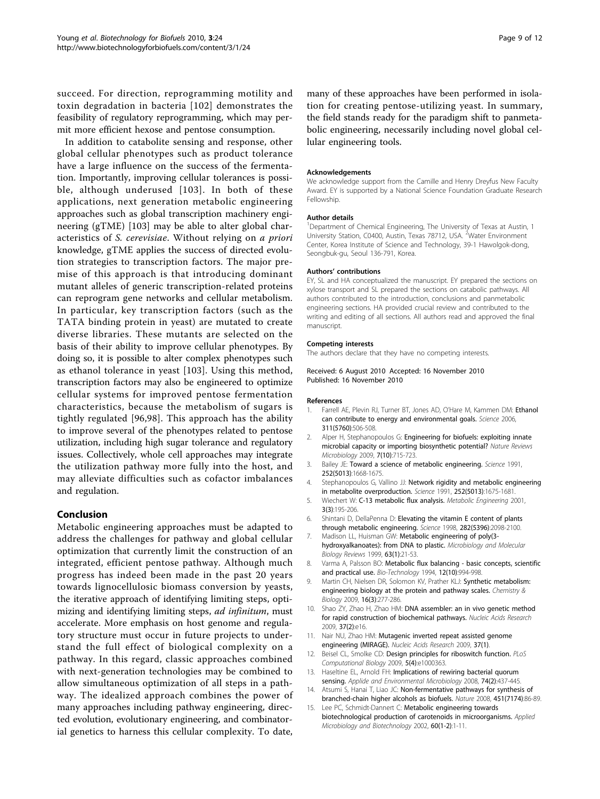<span id="page-8-0"></span>succeed. For direction, reprogramming motility and toxin degradation in bacteria [[102\]](#page-11-0) demonstrates the feasibility of regulatory reprogramming, which may permit more efficient hexose and pentose consumption.

In addition to catabolite sensing and response, other global cellular phenotypes such as product tolerance have a large influence on the success of the fermentation. Importantly, improving cellular tolerances is possible, although underused [[103\]](#page-11-0). In both of these applications, next generation metabolic engineering approaches such as global transcription machinery engineering (gTME) [[103\]](#page-11-0) may be able to alter global characteristics of S. cerevisiae. Without relying on a priori knowledge, gTME applies the success of directed evolution strategies to transcription factors. The major premise of this approach is that introducing dominant mutant alleles of generic transcription-related proteins can reprogram gene networks and cellular metabolism. In particular, key transcription factors (such as the TATA binding protein in yeast) are mutated to create diverse libraries. These mutants are selected on the basis of their ability to improve cellular phenotypes. By doing so, it is possible to alter complex phenotypes such as ethanol tolerance in yeast [\[103](#page-11-0)]. Using this method, transcription factors may also be engineered to optimize cellular systems for improved pentose fermentation characteristics, because the metabolism of sugars is tightly regulated [[96,98](#page-10-0)]. This approach has the ability to improve several of the phenotypes related to pentose utilization, including high sugar tolerance and regulatory issues. Collectively, whole cell approaches may integrate the utilization pathway more fully into the host, and may alleviate difficulties such as cofactor imbalances and regulation.

# Conclusion

Metabolic engineering approaches must be adapted to address the challenges for pathway and global cellular optimization that currently limit the construction of an integrated, efficient pentose pathway. Although much progress has indeed been made in the past 20 years towards lignocellulosic biomass conversion by yeasts, the iterative approach of identifying limiting steps, optimizing and identifying limiting steps, ad infinitum, must accelerate. More emphasis on host genome and regulatory structure must occur in future projects to understand the full effect of biological complexity on a pathway. In this regard, classic approaches combined with next-generation technologies may be combined to allow simultaneous optimization of all steps in a pathway. The idealized approach combines the power of many approaches including pathway engineering, directed evolution, evolutionary engineering, and combinatorial genetics to harness this cellular complexity. To date,

many of these approaches have been performed in isolation for creating pentose-utilizing yeast. In summary, the field stands ready for the paradigm shift to panmetabolic engineering, necessarily including novel global cellular engineering tools.

#### Acknowledgements

We acknowledge support from the Camille and Henry Dreyfus New Faculty Award. EY is supported by a National Science Foundation Graduate Research Fellowship.

#### Author details

<sup>1</sup>Department of Chemical Engineering, The University of Texas at Austin, 1 University Station, C0400, Austin, Texas 78712, USA. <sup>2</sup>Water Environment Center, Korea Institute of Science and Technology, 39-1 Hawolgok-dong, Seongbuk-gu, Seoul 136-791, Korea.

#### Authors' contributions

EY, SL and HA conceptualized the manuscript. EY prepared the sections on xylose transport and SL prepared the sections on catabolic pathways. All authors contributed to the introduction, conclusions and panmetabolic engineering sections. HA provided crucial review and contributed to the writing and editing of all sections. All authors read and approved the final manuscript.

#### Competing interests

The authors declare that they have no competing interests.

Received: 6 August 2010 Accepted: 16 November 2010 Published: 16 November 2010

#### References

- 1. Farrell AE, Plevin RJ, Turner BT, Jones AD, O'Hare M, Kammen DM: [Ethanol](http://www.ncbi.nlm.nih.gov/pubmed/16439656?dopt=Abstract) [can contribute to energy and environmental goals.](http://www.ncbi.nlm.nih.gov/pubmed/16439656?dopt=Abstract) Science 2006, 311(5760):506-508.
- 2. Alper H, Stephanopoulos G: [Engineering for biofuels: exploiting innate](http://www.ncbi.nlm.nih.gov/pubmed/19756010?dopt=Abstract) [microbial capacity or importing biosynthetic potential?](http://www.ncbi.nlm.nih.gov/pubmed/19756010?dopt=Abstract) Nature Reviews Microbiology 2009, 7(10):715-723.
- 3. Bailey JE: [Toward a science of metabolic engineering.](http://www.ncbi.nlm.nih.gov/pubmed/2047876?dopt=Abstract) Science 1991, 252(5013):1668-1675.
- 4. Stephanopoulos G, Vallino JJ: [Network rigidity and metabolic engineering](http://www.ncbi.nlm.nih.gov/pubmed/1904627?dopt=Abstract) [in metabolite overproduction.](http://www.ncbi.nlm.nih.gov/pubmed/1904627?dopt=Abstract) Science 1991, 252(5013):1675-1681.
- 5. Wiechert W: [C-13 metabolic flux analysis.](http://www.ncbi.nlm.nih.gov/pubmed/11461141?dopt=Abstract) Metabolic Engineering 2001, 3(3):195-206.
- 6. Shintani D, DellaPenna D: [Elevating the vitamin E content of plants](http://www.ncbi.nlm.nih.gov/pubmed/9851934?dopt=Abstract) [through metabolic engineering.](http://www.ncbi.nlm.nih.gov/pubmed/9851934?dopt=Abstract) Science 1998, 282(5396):2098-2100.
- 7. Madison LL, Huisman GW: [Metabolic engineering of poly\(3](http://www.ncbi.nlm.nih.gov/pubmed/10066830?dopt=Abstract) [hydroxyalkanoates\): from DNA to plastic.](http://www.ncbi.nlm.nih.gov/pubmed/10066830?dopt=Abstract) Microbiology and Molecular Biology Reviews 1999, 63(1):21-53.
- 8. Varma A, Palsson BO: Metabolic flux balancing basic concepts, scientific and practical use. Bio-Technology 1994, 12(10):994-998.
- 9. Martin CH, Nielsen DR, Solomon KV, Prather KLJ: Synthetic metabolism: engineering biology at the protein and pathway scales. Chemistry & Biology 2009, 16(3):277-286.
- 10. Shao ZY, Zhao H, Zhao HM: [DNA assembler: an in vivo genetic method](http://www.ncbi.nlm.nih.gov/pubmed/19074487?dopt=Abstract) [for rapid construction of biochemical pathways.](http://www.ncbi.nlm.nih.gov/pubmed/19074487?dopt=Abstract) Nucleic Acids Research 2009, 37(2):e16.
- 11. Nair NU, Zhao HM: [Mutagenic inverted repeat assisted genome](http://www.ncbi.nlm.nih.gov/pubmed/19050015?dopt=Abstract) [engineering \(MIRAGE\).](http://www.ncbi.nlm.nih.gov/pubmed/19050015?dopt=Abstract) Nucleic Acids Research 2009, 37(1).
- 12. Beisel CL, Smolke CD: [Design principles for riboswitch function.](http://www.ncbi.nlm.nih.gov/pubmed/19381267?dopt=Abstract) PLoS Computational Biology 2009, 5(4):e1000363.
- 13. Haseltine EL, Arnold FH: Implications of rewiring bacterial quorum sensing. Applide and Environmental Microbiology 2008, 74(2):437-445.
- 14. Atsumi S, Hanai T, Liao JC: [Non-fermentative pathways for synthesis of](http://www.ncbi.nlm.nih.gov/pubmed/18172501?dopt=Abstract) [branched-chain higher alcohols as biofuels.](http://www.ncbi.nlm.nih.gov/pubmed/18172501?dopt=Abstract) Nature 2008, 451(7174):86-89.
- 15. Lee PC, Schmidt-Dannert C: [Metabolic engineering towards](http://www.ncbi.nlm.nih.gov/pubmed/12382037?dopt=Abstract) [biotechnological production of carotenoids in microorganisms.](http://www.ncbi.nlm.nih.gov/pubmed/12382037?dopt=Abstract) Applied Microbiology and Biotechnology 2002, 60(1-2):1-11.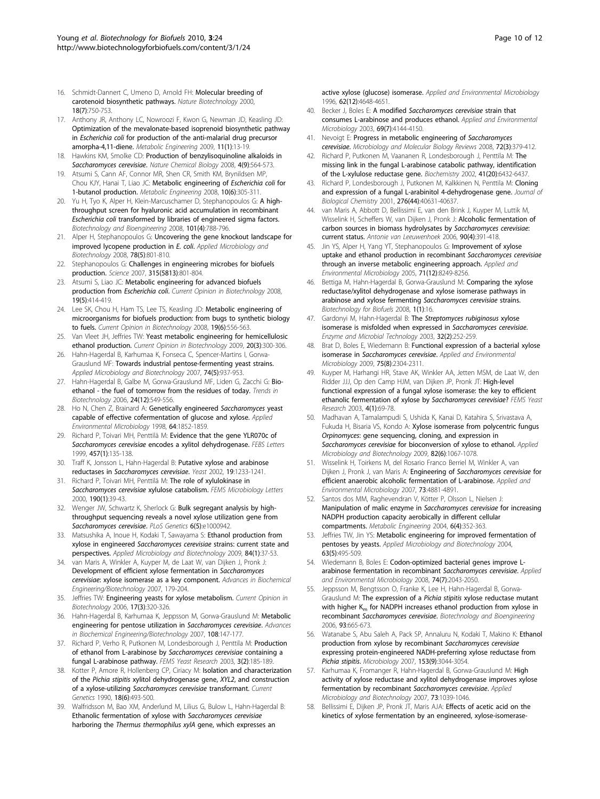- <span id="page-9-0"></span>16. Schmidt-Dannert C, Umeno D, Arnold FH: [Molecular breeding of](http://www.ncbi.nlm.nih.gov/pubmed/10888843?dopt=Abstract) [carotenoid biosynthetic pathways.](http://www.ncbi.nlm.nih.gov/pubmed/10888843?dopt=Abstract) Nature Biotechnology 2000, 18(7):750-753.
- 17. Anthony JR, Anthony LC, Nowroozi F, Kwon G, Newman JD, Keasling JD: [Optimization of the mevalonate-based isoprenoid biosynthetic pathway](http://www.ncbi.nlm.nih.gov/pubmed/18775787?dopt=Abstract) in Escherichia coli [for production of the anti-malarial drug precursor](http://www.ncbi.nlm.nih.gov/pubmed/18775787?dopt=Abstract) [amorpha-4,11-diene.](http://www.ncbi.nlm.nih.gov/pubmed/18775787?dopt=Abstract) Metabolic Engineering 2009, 11(1):13-19.
- 18. Hawkins KM, Smolke CD: [Production of benzylisoquinoline alkaloids in](http://www.ncbi.nlm.nih.gov/pubmed/18690217?dopt=Abstract) [Saccharomyces cerevisiae](http://www.ncbi.nlm.nih.gov/pubmed/18690217?dopt=Abstract). Nature Chemical Biology 2008, 4(9):564-573.
- 19. Atsumi S, Cann AF, Connor MR, Shen CR, Smith KM, Brynildsen MP, Chou KJY, Hanai T, Liao JC: [Metabolic engineering of](http://www.ncbi.nlm.nih.gov/pubmed/17942358?dopt=Abstract) Escherichia coli for [1-butanol production.](http://www.ncbi.nlm.nih.gov/pubmed/17942358?dopt=Abstract) Metabolic Engineering 2008, 10(6):305-311.
- 20. Yu H, Tyo K, Alper H, Klein-Marcuschamer D, Stephanopoulos G: [A high](http://www.ncbi.nlm.nih.gov/pubmed/18500764?dopt=Abstract)[throughput screen for hyaluronic acid accumulation in recombinant](http://www.ncbi.nlm.nih.gov/pubmed/18500764?dopt=Abstract) Escherichia coli [transformed by libraries of engineered sigma factors.](http://www.ncbi.nlm.nih.gov/pubmed/18500764?dopt=Abstract) Biotechnology and Bioengineering 2008, 101(4):788-796.
- 21. Alper H, Stephanopoulos G: [Uncovering the gene knockout landscape for](http://www.ncbi.nlm.nih.gov/pubmed/18239914?dopt=Abstract) [improved lycopene production in](http://www.ncbi.nlm.nih.gov/pubmed/18239914?dopt=Abstract) E. coli. Applied Microbiology and Biotechnology 2008, 78(5):801-810.
- 22. Stephanopoulos G: [Challenges in engineering microbes for biofuels](http://www.ncbi.nlm.nih.gov/pubmed/17289987?dopt=Abstract) [production.](http://www.ncbi.nlm.nih.gov/pubmed/17289987?dopt=Abstract) Science 2007, 315(5813):801-804.
- 23. Atsumi S, Liao JC: [Metabolic engineering for advanced biofuels](http://www.ncbi.nlm.nih.gov/pubmed/18761088?dopt=Abstract) [production from](http://www.ncbi.nlm.nih.gov/pubmed/18761088?dopt=Abstract) Escherichia coli. Current Opinion in Biotechnology 2008, 19(5):414-419.
- 24. Lee SK, Chou H, Ham TS, Lee TS, Keasling JD: [Metabolic engineering of](http://www.ncbi.nlm.nih.gov/pubmed/18996194?dopt=Abstract) [microorganisms for biofuels production: from bugs to synthetic biology](http://www.ncbi.nlm.nih.gov/pubmed/18996194?dopt=Abstract) [to fuels.](http://www.ncbi.nlm.nih.gov/pubmed/18996194?dopt=Abstract) Current Opinion in Biotechnology 2008, 19(6):556-563.
- 25. Van Vleet JH, Jeffries TW: [Yeast metabolic engineering for hemicellulosic](http://www.ncbi.nlm.nih.gov/pubmed/19545992?dopt=Abstract) [ethanol production.](http://www.ncbi.nlm.nih.gov/pubmed/19545992?dopt=Abstract) Current Opinion in Biotechnology 2009, 20(3):300-306.
- 26. Hahn-Hagerdal B, Karhumaa K, Fonseca C, Spencer-Martins I, Gorwa-Grauslund MF: [Towards industrial pentose-fermenting yeast strains.](http://www.ncbi.nlm.nih.gov/pubmed/17294186?dopt=Abstract) Applied Microbiology and Biotechnology 2007, 74(5):937-953.
- 27. Hahn-Hagerdal B, Galbe M, Gorwa-Grauslund MF, Liden G, Zacchi G: [Bio](http://www.ncbi.nlm.nih.gov/pubmed/17050014?dopt=Abstract)[ethanol - the fuel of tomorrow from the residues of today.](http://www.ncbi.nlm.nih.gov/pubmed/17050014?dopt=Abstract) Trends in Biotechnology 2006, 24(12):549-556.
- 28. Ho N, Chen Z, Brainard A: Genetically engineered Saccharomyces yeast capable of effective cofermentation of glucose and xylose. Applied Environmental Microbiology 1998, 64:1852-1859.
- 29. Richard P, Toivari MH, Penttilä M: [Evidence that the gene YLR070c of](http://www.ncbi.nlm.nih.gov/pubmed/10486580?dopt=Abstract) Saccharomyces cerevisiae [encodes a xylitol dehydrogenase.](http://www.ncbi.nlm.nih.gov/pubmed/10486580?dopt=Abstract) FEBS Letters 1999, 457(1):135-138.
- 30. Traff K, Jonsson L, Hahn-Hagerdal B: [Putative xylose and arabinose](http://www.ncbi.nlm.nih.gov/pubmed/12271459?dopt=Abstract) reductases in [Saccharomyces cerevisiae](http://www.ncbi.nlm.nih.gov/pubmed/12271459?dopt=Abstract). Yeast 2002, 19:1233-1241.
- 31. Richard P, Toivari MH, Penttilä M: [The role of xylulokinase in](http://www.ncbi.nlm.nih.gov/pubmed/10981687?dopt=Abstract) [Saccharomyces cerevisiae](http://www.ncbi.nlm.nih.gov/pubmed/10981687?dopt=Abstract) xylulose catabolism. FEMS Microbiology Letters 2000, 190(1):39-43.
- 32. Wenger JW, Schwartz K, Sherlock G: [Bulk segregant analysis by high](http://www.ncbi.nlm.nih.gov/pubmed/20485559?dopt=Abstract)[throughput sequencing reveals a novel xylose utilization gene from](http://www.ncbi.nlm.nih.gov/pubmed/20485559?dopt=Abstract) [Saccharomyces cerevisiae](http://www.ncbi.nlm.nih.gov/pubmed/20485559?dopt=Abstract). PLoS Genetics 6(5):e1000942.
- 33. Matsushika A, Inoue H, Kodaki T, Sawayama S: [Ethanol production from](http://www.ncbi.nlm.nih.gov/pubmed/19572128?dopt=Abstract) xylose in engineered Saccharomyces cerevisiae [strains: current state and](http://www.ncbi.nlm.nih.gov/pubmed/19572128?dopt=Abstract) [perspectives.](http://www.ncbi.nlm.nih.gov/pubmed/19572128?dopt=Abstract) Applied Microbiology and Biotechnology 2009, 84(1):37-53.
- 34. van Maris A, Winkler A, Kuyper M, de Laat W, van Dijken J, Pronk J: [Development of efficient xylose fermentation in](http://www.ncbi.nlm.nih.gov/pubmed/17846724?dopt=Abstract) Saccharomyces cerevisiae[: xylose isomerase as a key component.](http://www.ncbi.nlm.nih.gov/pubmed/17846724?dopt=Abstract) Advances in Biochemical Engineering/Biotechnology 2007, 179-204.
- 35. Jeffries TW: [Engineering yeasts for xylose metabolism.](http://www.ncbi.nlm.nih.gov/pubmed/16713243?dopt=Abstract) Current Opinion in Biotechnology 2006, 17(3):320-326.
- 36. Hahn-Hagerdal B, Karhumaa K, Jeppsson M, Gorwa-Grauslund M: [Metabolic](http://www.ncbi.nlm.nih.gov/pubmed/17846723?dopt=Abstract) [engineering for pentose utilization in](http://www.ncbi.nlm.nih.gov/pubmed/17846723?dopt=Abstract) Saccharomyces cerevisiae. Advances in Biochemical Engineering/Biotechnology 2007, 108:147-177.
- 37. Richard P, Verho R, Putkonen M, Londesborough J, Penttila M: [Production](http://www.ncbi.nlm.nih.gov/pubmed/12702451?dopt=Abstract) [of ethanol from L-arabinose by](http://www.ncbi.nlm.nih.gov/pubmed/12702451?dopt=Abstract) Saccharomyces cerevisiae containing a [fungal L-arabinose pathway.](http://www.ncbi.nlm.nih.gov/pubmed/12702451?dopt=Abstract) FEMS Yeast Research 2003, 3(2):185-189.
- 38. Kotter P, Amore R, Hollenberg CP, Ciriacy M: [Isolation and characterization](http://www.ncbi.nlm.nih.gov/pubmed/2127555?dopt=Abstract) of the Pichia stipitis [xylitol dehydrogenase gene,](http://www.ncbi.nlm.nih.gov/pubmed/2127555?dopt=Abstract) XYL2, and construction of a xylose-utilizing [Saccharomyces cerevisiae](http://www.ncbi.nlm.nih.gov/pubmed/2127555?dopt=Abstract) transformant. Current Genetics 1990, 18(6):493-500.
- 39. Walfridsson M, Bao XM, Anderlund M, Lilius G, Bulow L, Hahn-Hagerdal B: [Ethanolic fermentation of xylose with](http://www.ncbi.nlm.nih.gov/pubmed/8953736?dopt=Abstract) Saccharomyces cerevisiae harboring the [Thermus thermophilus xylA](http://www.ncbi.nlm.nih.gov/pubmed/8953736?dopt=Abstract) gene, which expresses an
- 40. Becker J, Boles E: A modified [Saccharomyces cerevisiae](http://www.ncbi.nlm.nih.gov/pubmed/12839792?dopt=Abstract) strain that [consumes L-arabinose and produces ethanol.](http://www.ncbi.nlm.nih.gov/pubmed/12839792?dopt=Abstract) Applied and Environmental Microbiology 2003, 69(7):4144-4150.
- 41. Nevoigt E: [Progress in metabolic engineering of](http://www.ncbi.nlm.nih.gov/pubmed/18772282?dopt=Abstract) Saccharomyces [cerevisiae](http://www.ncbi.nlm.nih.gov/pubmed/18772282?dopt=Abstract). Microbiology and Molecular Biology Reviews 2008, 72(3):379-412.
- 42. Richard P, Putkonen M, Vaananen R, Londesborough J, Penttila M: [The](http://www.ncbi.nlm.nih.gov/pubmed/12009906?dopt=Abstract) [missing link in the fungal L-arabinose catabolic pathway, identification](http://www.ncbi.nlm.nih.gov/pubmed/12009906?dopt=Abstract) [of the L-xylulose reductase gene.](http://www.ncbi.nlm.nih.gov/pubmed/12009906?dopt=Abstract) Biochemistry 2002, 41(20):6432-6437.
- 43. Richard P, Londesborough J, Putkonen M, Kalkkinen N, Penttila M: [Cloning](http://www.ncbi.nlm.nih.gov/pubmed/11514550?dopt=Abstract) [and expression of a fungal L-arabinitol 4-dehydrogenase gene.](http://www.ncbi.nlm.nih.gov/pubmed/11514550?dopt=Abstract) Journal of Biological Chemistry 2001, 276(44):40631-40637.
- 44. van Maris A, Abbott D, Bellissimi E, van den Brink J, Kuyper M, Luttik M, Wisselink H, Scheffers W, van Dijken J, Pronk J: [Alcoholic fermentation of](http://www.ncbi.nlm.nih.gov/pubmed/17033882?dopt=Abstract) [carbon sources in biomass hydrolysates by](http://www.ncbi.nlm.nih.gov/pubmed/17033882?dopt=Abstract) Saccharomyces cerevisiae: [current status.](http://www.ncbi.nlm.nih.gov/pubmed/17033882?dopt=Abstract) Antonie van Leeuwenhoek 2006, 90(4):391-418.
- 45. Jin YS, Alper H, Yang YT, Stephanopoulos G: [Improvement of xylose](http://www.ncbi.nlm.nih.gov/pubmed/16332810?dopt=Abstract) [uptake and ethanol production in recombinant](http://www.ncbi.nlm.nih.gov/pubmed/16332810?dopt=Abstract) Saccharomyces cerevisiae [through an inverse metabolic engineering approach.](http://www.ncbi.nlm.nih.gov/pubmed/16332810?dopt=Abstract) Applied and Environmental Microbiology 2005, 71(12):8249-8256.
- 46. Bettiga M, Hahn-Hagerdal B, Gorwa-Grauslund M: [Comparing the xylose](http://www.ncbi.nlm.nih.gov/pubmed/18947407?dopt=Abstract) [reductase/xylitol dehydrogenase and xylose isomerase pathways in](http://www.ncbi.nlm.nih.gov/pubmed/18947407?dopt=Abstract) [arabinose and xylose fermenting](http://www.ncbi.nlm.nih.gov/pubmed/18947407?dopt=Abstract) Saccharomyces cerevisiae strains. Biotechnology for Biofuels 2008, 1(1):16.
- 47. Gardonyi M, Hahn-Hagerdal B: The Streptomyces rubiginosus xylose isomerase is misfolded when expressed in Saccharomyces cerevisiae. Enzyme and Microbial Technology 2003, 32(2):252-259.
- 48. Brat D, Boles E, Wiedemann B: [Functional expression of a bacterial xylose](http://www.ncbi.nlm.nih.gov/pubmed/19218403?dopt=Abstract) isomerase in [Saccharomyces cerevisiae](http://www.ncbi.nlm.nih.gov/pubmed/19218403?dopt=Abstract). Applied and Environmental Microbiology 2009, 75(8):2304-2311.
- 49. Kuyper M, Harhangi HR, Stave AK, Winkler AA, Jetten MSM, de Laat W, den Ridder JJJ, Op den Camp HJM, van Dijken JP, Pronk JT: [High-level](http://www.ncbi.nlm.nih.gov/pubmed/14554198?dopt=Abstract) [functional expression of a fungal xylose isomerase: the key to efficient](http://www.ncbi.nlm.nih.gov/pubmed/14554198?dopt=Abstract) [ethanolic fermentation of xylose by](http://www.ncbi.nlm.nih.gov/pubmed/14554198?dopt=Abstract) Saccharomyces cerevisiae? FEMS Yeast Research 2003, 4(1):69-78.
- 50. Madhavan A, Tamalampudi S, Ushida K, Kanai D, Katahira S, Srivastava A, Fukuda H, Bisaria VS, Kondo A: [Xylose isomerase from polycentric fungus](http://www.ncbi.nlm.nih.gov/pubmed/19050860?dopt=Abstract) Orpinomyces[: gene sequencing, cloning, and expression in](http://www.ncbi.nlm.nih.gov/pubmed/19050860?dopt=Abstract) Saccharomyces cerevisiae [for bioconversion of xylose to ethanol.](http://www.ncbi.nlm.nih.gov/pubmed/19050860?dopt=Abstract) Applied Microbiology and Biotechnology 2009, 82(6):1067-1078.
- 51. Wisselink H, Toirkens M, del Rosario Franco Berriel M, Winkler A, van Dijken J, Pronk J, van Maris A: Engineering of [Saccharomyces cerevisiae](http://www.ncbi.nlm.nih.gov/pubmed/17545317?dopt=Abstract) for [efficient anaerobic alcoholic fermentation of L-arabinose.](http://www.ncbi.nlm.nih.gov/pubmed/17545317?dopt=Abstract) Applied and Environmental Microbiology 2007, 73:4881-4891.
- 52. Santos dos MM, Raghevendran V, Kötter P, Olsson L, Nielsen J: [Manipulation of malic enzyme in](http://www.ncbi.nlm.nih.gov/pubmed/15491864?dopt=Abstract) Saccharomyces cerevisiae for increasing [NADPH production capacity aerobically in different cellular](http://www.ncbi.nlm.nih.gov/pubmed/15491864?dopt=Abstract) [compartments.](http://www.ncbi.nlm.nih.gov/pubmed/15491864?dopt=Abstract) Metabolic Engineering 2004, 6(4):352-363.
- 53. Jeffries TW, Jin YS: [Metabolic engineering for improved fermentation of](http://www.ncbi.nlm.nih.gov/pubmed/14595523?dopt=Abstract) [pentoses by yeasts.](http://www.ncbi.nlm.nih.gov/pubmed/14595523?dopt=Abstract) Applied Microbiology and Biotechnology 2004, 63(5):495-509.
- 54. Wiedemann B, Boles E: [Codon-optimized bacterial genes improve L](http://www.ncbi.nlm.nih.gov/pubmed/18263741?dopt=Abstract)[arabinose fermentation in recombinant](http://www.ncbi.nlm.nih.gov/pubmed/18263741?dopt=Abstract) Saccharomyces cerevisiae. Applied and Environmental Microbiology 2008, 74(7):2043-2050.
- 55. Jeppsson M, Bengtsson O, Franke K, Lee H, Hahn-Hagerdal B, Gorwa-Grauslund M: The expression of a Pichia stipitis [xylose reductase mutant](http://www.ncbi.nlm.nih.gov/pubmed/16372361?dopt=Abstract) with higher  $K<sub>m</sub>$  [for NADPH increases ethanol production from xylose in](http://www.ncbi.nlm.nih.gov/pubmed/16372361?dopt=Abstract) recombinant [Saccharomyces cerevisiae](http://www.ncbi.nlm.nih.gov/pubmed/16372361?dopt=Abstract). Biotechnology and Bioengineering 2006, 93:665-673.
- 56. Watanabe S, Abu Saleh A, Pack SP, Annaluru N, Kodaki T, Makino K: [Ethanol](http://www.ncbi.nlm.nih.gov/pubmed/17768247?dopt=Abstract) [production from xylose by recombinant](http://www.ncbi.nlm.nih.gov/pubmed/17768247?dopt=Abstract) Saccharomyces cerevisiae [expressing protein-engineered NADH-preferring xylose reductase from](http://www.ncbi.nlm.nih.gov/pubmed/17768247?dopt=Abstract) [Pichia stipitis](http://www.ncbi.nlm.nih.gov/pubmed/17768247?dopt=Abstract). Microbiology 2007, 153(9):3044-3054.
- 57. Karhumaa K, Fromanger R, Hahn-Hagerdal B, Gorwa-Grauslund M: [High](http://www.ncbi.nlm.nih.gov/pubmed/16977466?dopt=Abstract) [activity of xylose reductase and xylitol dehydrogenase improves xylose](http://www.ncbi.nlm.nih.gov/pubmed/16977466?dopt=Abstract) [fermentation by recombinant](http://www.ncbi.nlm.nih.gov/pubmed/16977466?dopt=Abstract) Saccharomyces cerevisiae. Applied Microbiology and Biotechnology 2007, 73:1039-1046.
- 58. Bellissimi E, Dijken JP, Pronk JT, Maris AJA: [Effects of acetic acid on the](http://www.ncbi.nlm.nih.gov/pubmed/19416101?dopt=Abstract) [kinetics of xylose fermentation by an engineered, xylose-isomerase-](http://www.ncbi.nlm.nih.gov/pubmed/19416101?dopt=Abstract)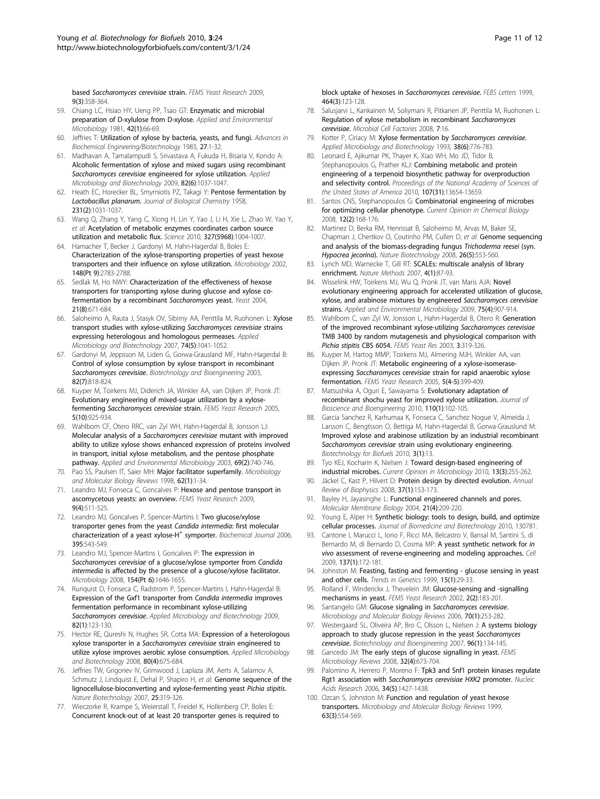<span id="page-10-0"></span>based [Saccharomyces cerevisiae](http://www.ncbi.nlm.nih.gov/pubmed/19416101?dopt=Abstract) strain. FEMS Yeast Research 2009, 9(3):358-364.

- 59. Chiang LC, Hsiao HY, Ueng PP, Tsao GT: [Enzymatic and microbial](http://www.ncbi.nlm.nih.gov/pubmed/16345816?dopt=Abstract) [preparation of D-xylulose from D-xylose.](http://www.ncbi.nlm.nih.gov/pubmed/16345816?dopt=Abstract) Applied and Environmental Microbiology 1981, 42(1):66-69.
- 60. Jeffries T: [Utilization of xylose by bacteria, yeasts, and fungi.](http://www.ncbi.nlm.nih.gov/pubmed/6437152?dopt=Abstract) Advances in Biochemical Engineering/Biotechnology 1983, 27:1-32.
- 61. Madhavan A, Tamalampudi S, Srivastava A, Fukuda H, Bisaria V, Kondo A: [Alcoholic fermentation of xylose and mixed sugars using recombinant](http://www.ncbi.nlm.nih.gov/pubmed/19125247?dopt=Abstract) Saccharomyces cerevisiae [engineered for xylose utilization.](http://www.ncbi.nlm.nih.gov/pubmed/19125247?dopt=Abstract) Applied Microbiology and Biotechnology 2009, 82(6):1037-1047.
- 62. Heath EC, Horecker BL, Smyrniotis PZ, Takagi Y: [Pentose fermentation by](http://www.ncbi.nlm.nih.gov/pubmed/13539034?dopt=Abstract) [Lactobacillus planarum](http://www.ncbi.nlm.nih.gov/pubmed/13539034?dopt=Abstract). Journal of Biological Chemistry 1958, 231(2):1031-1037.
- 63. Wang Q, Zhang Y, Yang C, Xiong H, Lin Y, Yao J, Li H, Xie L, Zhao W, Yao Y, et al: [Acetylation of metabolic enzymes coordinates carbon source](http://www.ncbi.nlm.nih.gov/pubmed/20167787?dopt=Abstract) [utilization and metabolic flux.](http://www.ncbi.nlm.nih.gov/pubmed/20167787?dopt=Abstract) Science 2010, 327(5968):1004-1007.
- 64. Hamacher T, Becker J, Gardonyi M, Hahn-Hagerdal B, Boles E: [Characterization of the xylose-transporting properties of yeast hexose](http://www.ncbi.nlm.nih.gov/pubmed/12213924?dopt=Abstract) [transporters and their influence on xylose utilization.](http://www.ncbi.nlm.nih.gov/pubmed/12213924?dopt=Abstract) Microbiology 2002, 148(Pt 9):2783-2788.
- 65. Sedlak M, Ho NWY: [Characterization of the effectiveness of hexose](http://www.ncbi.nlm.nih.gov/pubmed/15197732?dopt=Abstract) [transporters for transporting xylose during glucose and xylose co](http://www.ncbi.nlm.nih.gov/pubmed/15197732?dopt=Abstract)[fermentation by a recombinant](http://www.ncbi.nlm.nih.gov/pubmed/15197732?dopt=Abstract) Saccharomyces yeast. Yeast 2004, 21(8):671-684.
- 66. Saloheimo A, Rauta J, Stasyk OV, Sibirny AA, Penttila M, Ruohonen L: [Xylose](http://www.ncbi.nlm.nih.gov/pubmed/17180689?dopt=Abstract) [transport studies with xylose-utilizing](http://www.ncbi.nlm.nih.gov/pubmed/17180689?dopt=Abstract) Saccharomyces cerevisiae strains [expressing heterologous and homologous permeases.](http://www.ncbi.nlm.nih.gov/pubmed/17180689?dopt=Abstract) Applied Microbiology and Biotechnology 2007, 74(5):1041-1052.
- 67. Gardonyi M, Jeppsson M, Liden G, Gorwa-Grausland MF, Hahn-Hagerdal B: [Control of xylose consumption by xylose transport in recombinant](http://www.ncbi.nlm.nih.gov/pubmed/12701148?dopt=Abstract) [Saccharomyces cerevisiae](http://www.ncbi.nlm.nih.gov/pubmed/12701148?dopt=Abstract). Biotechnology and Bioengineering 2003, 82(7):818-824.
- 68. Kuyper M, Toirkens MJ, Diderich JA, Winkler AA, van Dijken JP, Pronk JT: [Evolutionary engineering of mixed-sugar utilization by a xylose-](http://www.ncbi.nlm.nih.gov/pubmed/15949975?dopt=Abstract)fermenting [Saccharomyces cerevisiae](http://www.ncbi.nlm.nih.gov/pubmed/15949975?dopt=Abstract) strain. FEMS Yeast Research 2005, 5(10):925-934.
- 69. Wahlbom CF, Otero RRC, van Zyl WH, Hahn-Hagerdal B, Jonsson LJ: Molecular analysis of a [Saccharomyces cerevisiae](http://www.ncbi.nlm.nih.gov/pubmed/12570990?dopt=Abstract) mutant with improved [ability to utilize xylose shows enhanced expression of proteins involved](http://www.ncbi.nlm.nih.gov/pubmed/12570990?dopt=Abstract) [in transport, initial xylose metabolism, and the pentose phosphate](http://www.ncbi.nlm.nih.gov/pubmed/12570990?dopt=Abstract) [pathway.](http://www.ncbi.nlm.nih.gov/pubmed/12570990?dopt=Abstract) Applied and Environmental Microbiology 2003, 69(2):740-746.
- 70. Pao SS, Paulsen IT, Saier MH: [Major facilitator superfamily.](http://www.ncbi.nlm.nih.gov/pubmed/9529885?dopt=Abstract) Microbiology and Molecular Biology Reviews 1998, 62(1):1-34.
- 71. Leandro MJ, Fonseca C, Goncalves P: [Hexose and pentose transport in](http://www.ncbi.nlm.nih.gov/pubmed/19459982?dopt=Abstract) [ascomycetous yeasts: an overview.](http://www.ncbi.nlm.nih.gov/pubmed/19459982?dopt=Abstract) FEMS Yeast Research 2009, 9(4):511-525.
- 72. Leandro MJ, Goncalves P, Spencer-Martins I: [Two glucose/xylose](http://www.ncbi.nlm.nih.gov/pubmed/16402921?dopt=Abstract) [transporter genes from the yeast](http://www.ncbi.nlm.nih.gov/pubmed/16402921?dopt=Abstract) Candida intermedia: first molecular [characterization](http://www.ncbi.nlm.nih.gov/pubmed/16402921?dopt=Abstract) [of](http://www.ncbi.nlm.nih.gov/pubmed/16402921?dopt=Abstract) [a](http://www.ncbi.nlm.nih.gov/pubmed/16402921?dopt=Abstract) [yeast](http://www.ncbi.nlm.nih.gov/pubmed/16402921?dopt=Abstract) [xylose-H](http://www.ncbi.nlm.nih.gov/pubmed/16402921?dopt=Abstract)<sup>+</sup> [symporter.](http://www.ncbi.nlm.nih.gov/pubmed/16402921?dopt=Abstract) Biochemical Journal 2006, 395:543-549.
- 73. Leandro MJ, Spencer-Martins I, Goncalves P: [The expression in](http://www.ncbi.nlm.nih.gov/pubmed/18524919?dopt=Abstract) Saccharomyces cerevisiae [of a glucose/xylose symporter from](http://www.ncbi.nlm.nih.gov/pubmed/18524919?dopt=Abstract) Candida intermedia [is affected by the presence of a glucose/xylose facilitator.](http://www.ncbi.nlm.nih.gov/pubmed/18524919?dopt=Abstract) Microbiology 2008, 154(Pt 6):1646-1655.
- 74. Runquist D, Fonseca C, Radstrom P, Spencer-Martins I, Hahn-Hagerdal B: [Expression of the Gxf1 transporter from](http://www.ncbi.nlm.nih.gov/pubmed/19002682?dopt=Abstract) Candida intermedia improves [fermentation performance in recombinant xylose-utilizing](http://www.ncbi.nlm.nih.gov/pubmed/19002682?dopt=Abstract) [Saccharomyces cerevisiae](http://www.ncbi.nlm.nih.gov/pubmed/19002682?dopt=Abstract). Applied Microbiology and Biotechnology 2009, 82(1):123-130.
- 75. Hector RE, Qureshi N, Hughes SR, Cotta MA: [Expression of a heterologous](http://www.ncbi.nlm.nih.gov/pubmed/18629494?dopt=Abstract) xylose transporter in a [Saccharomyces cerevisiae](http://www.ncbi.nlm.nih.gov/pubmed/18629494?dopt=Abstract) strain engineered to [utilize xylose improves aerobic xylose consumption.](http://www.ncbi.nlm.nih.gov/pubmed/18629494?dopt=Abstract) Applied Microbiology and Biotechnology 2008, 80(4):675-684.
- 76. Jeffries TW, Grigoriev IV, Grimwood J, Laplaza JM, Aerts A, Salamov A, Schmutz J, Lindquist E, Dehal P, Shapiro H, et al: [Genome sequence of the](http://www.ncbi.nlm.nih.gov/pubmed/17334359?dopt=Abstract) [lignocellulose-bioconverting and xylose-fermenting yeast](http://www.ncbi.nlm.nih.gov/pubmed/17334359?dopt=Abstract) Pichia stipitis. Nature Biotechnology 2007, 25:319-326.
- 77. Wieczorke R, Krampe S, Weierstall T, Freidel K, Hollenberg CP, Boles E: [Concurrent knock-out of at least 20 transporter genes is required to](http://www.ncbi.nlm.nih.gov/pubmed/10618490?dopt=Abstract)

[block uptake of hexoses in](http://www.ncbi.nlm.nih.gov/pubmed/10618490?dopt=Abstract) Saccharomyces cerevisiae. FEBS Letters 1999, 464(3):123-128.

- 78. Salusjarvi L, Kankainen M, Soliymani R, Pitkanen JP, Penttila M, Ruohonen L: [Regulation of xylose metabolism in recombinant](http://www.ncbi.nlm.nih.gov/pubmed/18498642?dopt=Abstract) Saccharomyces [cerevisiae](http://www.ncbi.nlm.nih.gov/pubmed/18498642?dopt=Abstract). Microbial Cell Factories 2008, 7:16.
- 79. Kotter P, Ciriacy M: Xylose fermentation by Saccharomyces cerevisiae. Applied Microbiology and Biotechnology 1993, 38(6):776-783.
- 80. Leonard E, Ajikumar PK, Thayer K, Xiao WH, Mo JD, Tidor B, Stephanopoulos G, Prather KLJ: [Combining metabolic and protein](http://www.ncbi.nlm.nih.gov/pubmed/20643967?dopt=Abstract) [engineering of a terpenoid biosynthetic pathway for overproduction](http://www.ncbi.nlm.nih.gov/pubmed/20643967?dopt=Abstract) [and selectivity control.](http://www.ncbi.nlm.nih.gov/pubmed/20643967?dopt=Abstract) Proceedings of the National Academy of Sciences of the United States of America 2010, 107(31):13654-13659.
- 81. Santos CNS, Stephanopoulos G: [Combinatorial engineering of microbes](http://www.ncbi.nlm.nih.gov/pubmed/18275860?dopt=Abstract) [for optimizing cellular phenotype.](http://www.ncbi.nlm.nih.gov/pubmed/18275860?dopt=Abstract) Current Opinion in Chemical Biology 2008, 12(2):168-176.
- 82. Martinez D, Berka RM, Henrissat B, Saloheimo M, Arvas M, Baker SE, Chapman J, Chertkov O, Coutinho PM, Cullen D, et al: [Genome sequencing](http://www.ncbi.nlm.nih.gov/pubmed/18454138?dopt=Abstract) [and analysis of the biomass-degrading fungus](http://www.ncbi.nlm.nih.gov/pubmed/18454138?dopt=Abstract) Trichoderma reesei (syn. [Hypocrea jecorina](http://www.ncbi.nlm.nih.gov/pubmed/18454138?dopt=Abstract)). Nature Biotechnology 2008, 26(5):553-560.
- 83. Lynch MD, Warnecke T, Gill RT: [SCALEs: multiscale analysis of library](http://www.ncbi.nlm.nih.gov/pubmed/17099705?dopt=Abstract) [enrichment.](http://www.ncbi.nlm.nih.gov/pubmed/17099705?dopt=Abstract) Nature Methods 2007, 4(1):87-93.
- 84. Wisselink HW, Toirkens MJ, Wu Q, Pronk JT, van Maris AJA: [Novel](http://www.ncbi.nlm.nih.gov/pubmed/19074603?dopt=Abstract) [evolutionary engineering approach for accelerated utilization of glucose,](http://www.ncbi.nlm.nih.gov/pubmed/19074603?dopt=Abstract) [xylose, and arabinose mixtures by engineered](http://www.ncbi.nlm.nih.gov/pubmed/19074603?dopt=Abstract) Saccharomyces cerevisiae [strains.](http://www.ncbi.nlm.nih.gov/pubmed/19074603?dopt=Abstract) Applied and Environmental Microbiology 2009, 75(4):907-914.
- 85. Wahlbom C, van Zyl W, Jonsson L, Hahn-Hagerdal B, Otero R: [Generation](http://www.ncbi.nlm.nih.gov/pubmed/12689639?dopt=Abstract) [of the improved recombinant xylose-utilizing](http://www.ncbi.nlm.nih.gov/pubmed/12689639?dopt=Abstract) Saccharomyces cerevisiae [TMB 3400 by random mutagenesis and physiological comparison with](http://www.ncbi.nlm.nih.gov/pubmed/12689639?dopt=Abstract) [Pichia stipitis](http://www.ncbi.nlm.nih.gov/pubmed/12689639?dopt=Abstract) CBS 6054. FEMS Yeast Res 2003, 3:319-326.
- 86. Kuyper M, Hartog MMP, Toirkens MJ, Almering MJH, Winkler AA, van Dijken JP, Pronk JT: [Metabolic engineering of a xylose-isomerase](http://www.ncbi.nlm.nih.gov/pubmed/15691745?dopt=Abstract)expressing Saccharomyces cerevisiae [strain for rapid anaerobic xylose](http://www.ncbi.nlm.nih.gov/pubmed/15691745?dopt=Abstract) [fermentation.](http://www.ncbi.nlm.nih.gov/pubmed/15691745?dopt=Abstract) FEMS Yeast Research 2005, 5(4-5):399-409.
- 87. Matsushika A, Oguri E, Sawayama S: [Evolutionary adaptation of](http://www.ncbi.nlm.nih.gov/pubmed/20541125?dopt=Abstract) [recombinant shochu yeast for improved xylose utilization.](http://www.ncbi.nlm.nih.gov/pubmed/20541125?dopt=Abstract) Journal of Bioscience and Bioengineering 2010, 110(1):102-105.
- 88. Garcia Sanchez R, Karhumaa K, Fonseca C, Sanchez Nogue V, Almeida J, Larsson C, Bengtsson O, Bettiga M, Hahn-Hagerdal B, Gorwa-Grauslund M: [Improved xylose and arabinose utilization by an industrial recombinant](http://www.ncbi.nlm.nih.gov/pubmed/20550651?dopt=Abstract) Saccharomyces cerevisiae [strain using evolutionary engineering.](http://www.ncbi.nlm.nih.gov/pubmed/20550651?dopt=Abstract) Biotechnology for Biofuels 2010, 3(1):13.
- Tyo KEJ, Kocharin K, Nielsen J: [Toward design-based engineering of](http://www.ncbi.nlm.nih.gov/pubmed/20226723?dopt=Abstract) [industrial microbes.](http://www.ncbi.nlm.nih.gov/pubmed/20226723?dopt=Abstract) Current Opinion in Microbiology 2010, 13(3):255-262.
- 90. Jäckel C, Kast P, Hilvert D: [Protein design by directed evolution.](http://www.ncbi.nlm.nih.gov/pubmed/18573077?dopt=Abstract) Annual Review of Biophysics 2008, 37(1):153-173.
- 91. Bayley H, Jayasinghe L: [Functional engineered channels and pores.](http://www.ncbi.nlm.nih.gov/pubmed/15371010?dopt=Abstract) Molecular Membrane Biology 2004, 21(4):209-220.
- 92. Young E, Alper H: [Synthetic biology: tools to design, build, and optimize](http://www.ncbi.nlm.nih.gov/pubmed/20150964?dopt=Abstract) [cellular processes.](http://www.ncbi.nlm.nih.gov/pubmed/20150964?dopt=Abstract) Journal of Biomedicine and Biotechnology 2010, 130781.
- 93. Cantone I, Marucci L, Iorio F, Ricci MA, Belcastro V, Bansal M, Santini S, di Bernardo M, di Bernardo D, Cosma MP: [A yeast synthetic network for](http://www.ncbi.nlm.nih.gov/pubmed/19327819?dopt=Abstract) in vivo [assessment of reverse-engineering and modeling approaches.](http://www.ncbi.nlm.nih.gov/pubmed/19327819?dopt=Abstract) Cell 2009, 137(1):172-181.
- 94. Johnston M: [Feasting, fasting and fermenting glucose sensing in yeast](http://www.ncbi.nlm.nih.gov/pubmed/10087931?dopt=Abstract) [and other cells.](http://www.ncbi.nlm.nih.gov/pubmed/10087931?dopt=Abstract) Trends in Genetics 1999, 15(1):29-33.
- 95. Rolland F, Winderickx J, Thevelein JM: [Glucose-sensing and -signalling](http://www.ncbi.nlm.nih.gov/pubmed/12702307?dopt=Abstract) [mechanisms in yeast.](http://www.ncbi.nlm.nih.gov/pubmed/12702307?dopt=Abstract) FEMS Yeast Research 2002, 2(2):183-201.
- 96. Santangelo GM: Glucose signaling in [Saccharomyces cerevisiae](http://www.ncbi.nlm.nih.gov/pubmed/16524925?dopt=Abstract). Microbiology and Molecular Biology Reviews 2006, 70(1):253-282.
- 97. Westergaard SL, Oliveira AP, Bro C, Olsson L, Nielsen J: [A systems biology](http://www.ncbi.nlm.nih.gov/pubmed/16878332?dopt=Abstract) [approach to study glucose repression in the yeast](http://www.ncbi.nlm.nih.gov/pubmed/16878332?dopt=Abstract) Saccharomyces [cerevisiae](http://www.ncbi.nlm.nih.gov/pubmed/16878332?dopt=Abstract). Biotechnology and Bioengineering 2007, 96(1):134-145.
- 98. Gancedo JM: [The early steps of glucose signalling in yeast.](http://www.ncbi.nlm.nih.gov/pubmed/18559076?dopt=Abstract) FEMS Microbiology Reviews 2008, 32(4):673-704.
- 99. Palomino A, Herrero P, Moreno F: [Tpk3 and Snf1 protein kinases regulate](http://www.ncbi.nlm.nih.gov/pubmed/16528100?dopt=Abstract) Rgt1 association with [Saccharomyces cerevisiae HXK2](http://www.ncbi.nlm.nih.gov/pubmed/16528100?dopt=Abstract) promoter. Nucleic Acids Research 2006, 34(5):1427-1438.
- 100. Ozcan S, Johnston M: [Function and regulation of yeast hexose](http://www.ncbi.nlm.nih.gov/pubmed/10477308?dopt=Abstract) [transporters.](http://www.ncbi.nlm.nih.gov/pubmed/10477308?dopt=Abstract) Microbiology and Molecular Biology Reviews 1999, 63(3):554-569.